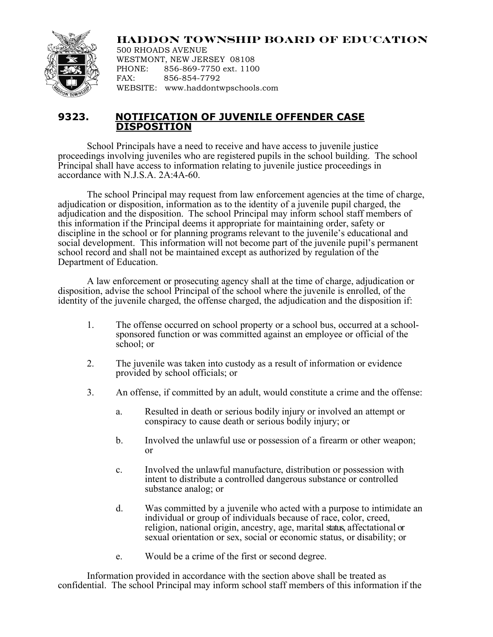

**HADDON TOWNSHIP BOARD OF EDUCATION**

500 RHOADS AVENUE WESTMONT, NEW JERSEY 08108 PHONE: 856-869-7750 ext. 1100 FAX: 856-854-7792 WEBSITE: www.haddontwpschools.com

## **9323. NOTIFICATION OF JUVENILE OFFENDER CASE DISPOSITION**

School Principals have a need to receive and have access to juvenile justice proceedings involving juveniles who are registered pupils in the school building. The school Principal shall have access to information relating to juvenile justice proceedings in accordance with N.J.S.A. 2A:4A-60.

The school Principal may request from law enforcement agencies at the time of charge, adjudication or disposition, information as to the identity of a juvenile pupil charged, the adjudication and the disposition. The school Principal may inform school staff members of this information if the Principal deems it appropriate for maintaining order, safety or discipline in the school or for planning programs relevant to the juvenile's educational and social development. This information will not become part of the juvenile pupil's permanent school record and shall not be maintained except as authorized by regulation of the Department of Education.

A law enforcement or prosecuting agency shall at the time of charge, adjudication or disposition, advise the school Principal of the school where the juvenile is enrolled, of the identity of the juvenile charged, the offense charged, the adjudication and the disposition if:

- 1. The offense occurred on school property or a school bus, occurred at a school-sponsored function or was committed against an employee or official of the school; or
- 2. The juvenile was taken into custody as a result of information or evidence provided by school officials; or
- 3. An offense, if committed by an adult, would constitute a crime and the offense:
	- a. Resulted in death or serious bodily injury or involved an attempt or conspiracy to cause death or serious bodily injury; or
	- b. Involved the unlawful use or possession of a firearm or other weapon; or
	- c. Involved the unlawful manufacture, distribution or possession with intent to distribute a controlled dangerous substance or controlled substance analog; or
	- d. Was committed by a juvenile who acted with a purpose to intimidate an individual or group of individuals because of race, color, creed, religion, national origin, ancestry, age, marital status, affectational or sexual orientation or sex, social or economic status, or disability; or
	- e. Would be a crime of the first or second degree.

Information provided in accordance with the section above shall be treated as confidential. The school Principal may inform school staff members of this information if the